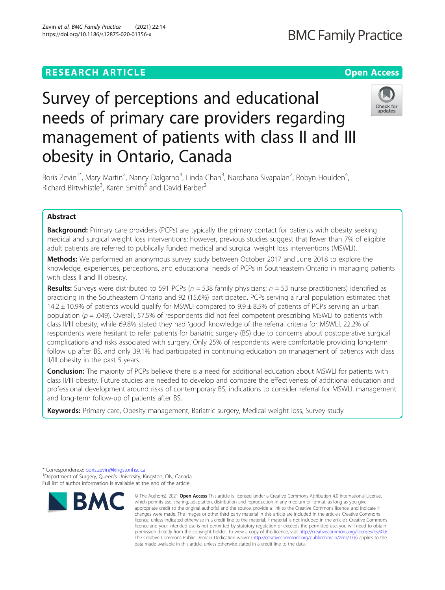### **RESEARCH ARTICLE Example 2014 12:30 The Contract of Contract ACCESS**

# **BMC Family Practice**

## Check for updates

Boris Zevin<sup>1\*</sup>, Mary Martin<sup>2</sup>, Nancy Dalgarno<sup>3</sup>, Linda Chan<sup>3</sup>, Nardhana Sivapalan<sup>2</sup>, Robyn Houlden<sup>4</sup> , Richard Birtwhistle<sup>3</sup>, Karen Smith<sup>5</sup> and David Barber<sup>2</sup>

needs of primary care providers regarding

management of patients with class II and III

Survey of perceptions and educational

obesity in Ontario, Canada

### Abstract

**Background:** Primary care providers (PCPs) are typically the primary contact for patients with obesity seeking medical and surgical weight loss interventions; however, previous studies suggest that fewer than 7% of eligible adult patients are referred to publically funded medical and surgical weight loss interventions (MSWLI).

Methods: We performed an anonymous survey study between October 2017 and June 2018 to explore the knowledge, experiences, perceptions, and educational needs of PCPs in Southeastern Ontario in managing patients with class II and III obesity.

**Results:** Surveys were distributed to 591 PCPs ( $n = 538$  family physicians;  $n = 53$  nurse practitioners) identified as practicing in the Southeastern Ontario and 92 (15.6%) participated. PCPs serving a rural population estimated that 14.2  $\pm$  10.9% of patients would qualify for MSWLI compared to 9.9  $\pm$  8.5% of patients of PCPs serving an urban population ( $p = .049$ ). Overall, 57.5% of respondents did not feel competent prescribing MSWLI to patients with class II/III obesity, while 69.8% stated they had 'good' knowledge of the referral criteria for MSWLI. 22.2% of respondents were hesitant to refer patients for bariatric surgery (BS) due to concerns about postoperative surgical complications and risks associated with surgery. Only 25% of respondents were comfortable providing long-term follow up after BS, and only 39.1% had participated in continuing education on management of patients with class II/III obesity in the past 5 years.

**Conclusion:** The majority of PCPs believe there is a need for additional education about MSWLI for patients with class II/III obesity. Future studies are needed to develop and compare the effectiveness of additional education and professional development around risks of contemporary BS, indications to consider referral for MSWLI, management and long-term follow-up of patients after BS.

Keywords: Primary care, Obesity management, Bariatric surgery, Medical weight loss, Survey study

<sup>\*</sup> Correspondence: [boris.zevin@kingstonhsc.ca](mailto:boris.zevin@kingstonhsc.ca) <sup>1</sup> <sup>1</sup>Department of Surgery, Queen's University, Kingston, ON, Canada Full list of author information is available at the end of the article



<sup>©</sup> The Author(s), 2021 **Open Access** This article is licensed under a Creative Commons Attribution 4.0 International License, which permits use, sharing, adaptation, distribution and reproduction in any medium or format, as long as you give appropriate credit to the original author(s) and the source, provide a link to the Creative Commons licence, and indicate if changes were made. The images or other third party material in this article are included in the article's Creative Commons licence, unless indicated otherwise in a credit line to the material. If material is not included in the article's Creative Commons licence and your intended use is not permitted by statutory regulation or exceeds the permitted use, you will need to obtain permission directly from the copyright holder. To view a copy of this licence, visit [http://creativecommons.org/licenses/by/4.0/.](http://creativecommons.org/licenses/by/4.0/) The Creative Commons Public Domain Dedication waiver [\(http://creativecommons.org/publicdomain/zero/1.0/](http://creativecommons.org/publicdomain/zero/1.0/)) applies to the data made available in this article, unless otherwise stated in a credit line to the data.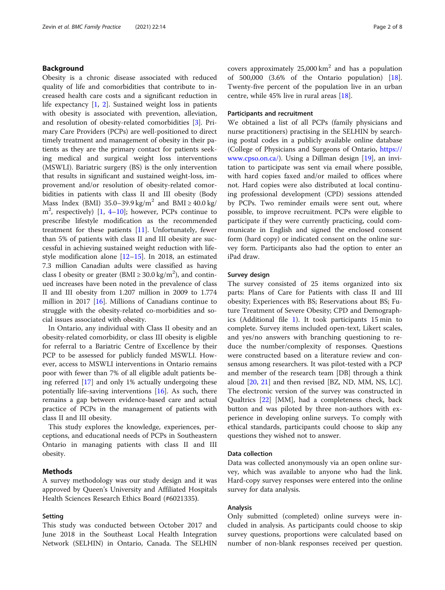#### Background

Obesity is a chronic disease associated with reduced quality of life and comorbidities that contribute to increased health care costs and a significant reduction in life expectancy [[1,](#page-6-0) [2](#page-6-0)]. Sustained weight loss in patients with obesity is associated with prevention, alleviation, and resolution of obesity-related comorbidities [[3\]](#page-6-0). Primary Care Providers (PCPs) are well-positioned to direct timely treatment and management of obesity in their patients as they are the primary contact for patients seeking medical and surgical weight loss interventions (MSWLI). Bariatric surgery (BS) is the only intervention that results in significant and sustained weight-loss, improvement and/or resolution of obesity-related comorbidities in patients with class II and III obesity (Body Mass Index (BMI) 35.0–39.9 kg/m<sup>2</sup> and BMI  $\geq$  40.0 kg/ m<sup>2</sup>, respectively) [\[1](#page-6-0), [4](#page-6-0)–[10\]](#page-6-0); however, PCPs continue to prescribe lifestyle modification as the recommended treatment for these patients [\[11](#page-6-0)]. Unfortunately, fewer than 5% of patients with class II and III obesity are successful in achieving sustained weight reduction with lifestyle modification alone  $[12–15]$  $[12–15]$  $[12–15]$  $[12–15]$  $[12–15]$ . In 2018, an estimated 7.3 million Canadian adults were classified as having class I obesity or greater (BMI  $\geq 30.0$  kg/m<sup>2</sup>), and continued increases have been noted in the prevalence of class II and III obesity from 1.207 million in 2009 to 1.774 million in 2017 [\[16\]](#page-6-0). Millions of Canadians continue to struggle with the obesity-related co-morbidities and social issues associated with obesity.

In Ontario, any individual with Class II obesity and an obesity-related comorbidity, or class III obesity is eligible for referral to a Bariatric Centre of Excellence by their PCP to be assessed for publicly funded MSWLI. However, access to MSWLI interventions in Ontario remains poor with fewer than 7% of all eligible adult patients being referred [\[17](#page-6-0)] and only 1% actually undergoing these potentially life-saving interventions  $[16]$  $[16]$ . As such, there remains a gap between evidence-based care and actual practice of PCPs in the management of patients with class II and III obesity.

This study explores the knowledge, experiences, perceptions, and educational needs of PCPs in Southeastern Ontario in managing patients with class II and III obesity.

#### Methods

A survey methodology was our study design and it was approved by Queen's University and Affiliated Hospitals Health Sciences Research Ethics Board (#6021335).

#### Setting

This study was conducted between October 2017 and June 2018 in the Southeast Local Health Integration Network (SELHIN) in Ontario, Canada. The SELHIN covers approximately  $25,000 \text{ km}^2$  and has a population of 500,000 (3.6% of the Ontario population) [\[18](#page-6-0)]. Twenty-five percent of the population live in an urban centre, while 45% live in rural areas [[18\]](#page-6-0).

#### Participants and recruitment

We obtained a list of all PCPs (family physicians and nurse practitioners) practising in the SELHIN by searching postal codes in a publicly available online database (College of Physicians and Surgeons of Ontario, [https://](https://www.cpso.on.ca/) [www.cpso.on.ca/](https://www.cpso.on.ca/)). Using a Dillman design [\[19](#page-6-0)], an invitation to participate was sent via email where possible, with hard copies faxed and/or mailed to offices where not. Hard copies were also distributed at local continuing professional development (CPD) sessions attended by PCPs. Two reminder emails were sent out, where possible, to improve recruitment. PCPs were eligible to participate if they were currently practicing, could communicate in English and signed the enclosed consent form (hard copy) or indicated consent on the online survey form. Participants also had the option to enter an iPad draw.

#### Survey design

The survey consisted of 25 items organized into six parts: Plans of Care for Patients with class II and III obesity; Experiences with BS; Reservations about BS; Future Treatment of Severe Obesity; CPD and Demographics (Additional file [1](#page-5-0)). It took participants 15 min to complete. Survey items included open-text, Likert scales, and yes/no answers with branching questioning to reduce the number/complexity of responses. Questions were constructed based on a literature review and consensus among researchers. It was pilot-tested with a PCP and member of the research team [DB] through a think aloud [[20,](#page-6-0) [21](#page-6-0)] and then revised [BZ, ND, MM, NS, LC]. The electronic version of the survey was constructed in Qualtrics [\[22](#page-6-0)] [MM], had a completeness check, back button and was piloted by three non-authors with experience in developing online surveys. To comply with ethical standards, participants could choose to skip any questions they wished not to answer.

#### Data collection

Data was collected anonymously via an open online survey, which was available to anyone who had the link. Hard-copy survey responses were entered into the online survey for data analysis.

#### Analysis

Only submitted (completed) online surveys were included in analysis. As participants could choose to skip survey questions, proportions were calculated based on number of non-blank responses received per question.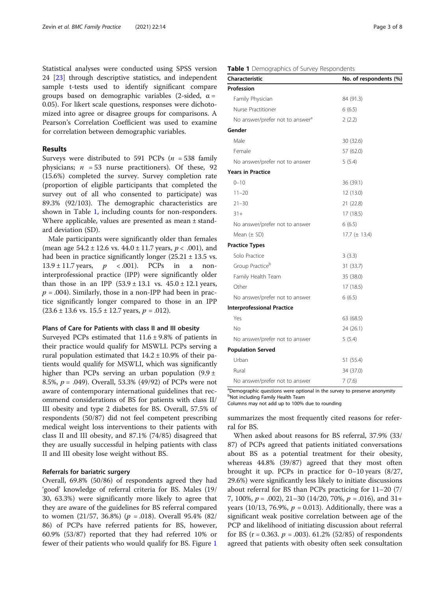Statistical analyses were conducted using SPSS version 24 [\[23](#page-6-0)] through descriptive statistics, and independent sample t-tests used to identify significant compare groups based on demographic variables (2-sided,  $\alpha$  = 0.05). For likert scale questions, responses were dichotomized into agree or disagree groups for comparisons. A Pearson's Correlation Coefficient was used to examine for correlation between demographic variables.

#### Results

Surveys were distributed to 591 PCPs ( $n = 538$  family physicians;  $n = 53$  nurse practitioners). Of these, 92 (15.6%) completed the survey. Survey completion rate (proportion of eligible participants that completed the survey out of all who consented to participate) was 89.3% (92/103). The demographic characteristics are shown in Table 1, including counts for non-responders. Where applicable, values are presented as mean ± standard deviation (SD).

Male participants were significantly older than females (mean age  $54.2 \pm 12.6$  vs.  $44.0 \pm 11.7$  years,  $p < .001$ ), and had been in practice significantly longer  $(25.21 \pm 13.5 \text{ vs.})$  $13.9 \pm 11.7$  years,  $p \le 0.001$ ). PCPs in a noninterprofessional practice (IPP) were significantly older than those in an IPP  $(53.9 \pm 13.1 \text{ vs. } 45.0 \pm 12.1 \text{ years})$  $p = .004$ ). Similarly, those in a non-IPP had been in practice significantly longer compared to those in an IPP  $(23.6 \pm 13.6 \text{ vs. } 15.5 \pm 12.7 \text{ years}, p = .012).$ 

#### Plans of Care for Patients with class II and III obesity

Surveyed PCPs estimated that  $11.6 \pm 9.8\%$  of patients in their practice would qualify for MSWLI. PCPs serving a rural population estimated that  $14.2 \pm 10.9\%$  of their patients would qualify for MSWLI, which was significantly higher than PCPs serving an urban population  $(9.9 \pm 1)$ 8.5%,  $p = .049$ ). Overall, 53.3% (49/92) of PCPs were not aware of contemporary international guidelines that recommend considerations of BS for patients with class II/ III obesity and type 2 diabetes for BS. Overall, 57.5% of respondents (50/87) did not feel competent prescribing medical weight loss interventions to their patients with class II and III obesity, and 87.1% (74/85) disagreed that they are usually successful in helping patients with class II and III obesity lose weight without BS.

#### Referrals for bariatric surgery

Overall, 69.8% (50/86) of respondents agreed they had 'good' knowledge of referral criteria for BS. Males (19/ 30, 63.3%) were significantly more likely to agree that they are aware of the guidelines for BS referral compared to women  $(21/57, 36.8%) (p = .018)$ . Overall 95.4%  $(82/$ 86) of PCPs have referred patients for BS, however, 60.9% (53/87) reported that they had referred 10% or fewer of their patients who would qualify for BS. Figure [1](#page-3-0)

#### Table 1 Demographics of Survey Respondents

| Characteristic                              | No. of respondents (%) |
|---------------------------------------------|------------------------|
| Profession                                  |                        |
| Family Physician                            | 84 (91.3)              |
| Nurse Practitioner                          | 6(6.5)                 |
| No answer/prefer not to answer <sup>a</sup> | 2(2.2)                 |
| Gender                                      |                        |
| Male                                        | 30 (32.6)              |
| Female                                      | 57 (62.0)              |
| No answer/prefer not to answer              | 5(5.4)                 |
| <b>Years in Practice</b>                    |                        |
| $0 - 10$                                    | 36 (39.1)              |
| $11 - 20$                                   | 12 (13.0)              |
| $21 - 30$                                   | 21(22.8)               |
| $31+$                                       | 17 (18.5)              |
| No answer/prefer not to answer              | 6(6.5)                 |
| Mean $(\pm$ SD)                             | 17.7 $(\pm 13.4)$      |
| <b>Practice Types</b>                       |                        |
| Solo Practice                               | 3(3.3)                 |
| Group Practice <sup>b</sup>                 | 31 (33.7)              |
| Family Health Team                          | 35 (38.0)              |
| Other                                       | 17(18.5)               |
| No answer/prefer not to answer              | 6(6.5)                 |
| <b>Interprofessional Practice</b>           |                        |
| Yes                                         | 63 (68.5)              |
| No                                          | 24 (26.1)              |
| No answer/prefer not to answer              | 5(5.4)                 |
| <b>Population Served</b>                    |                        |
| Urban                                       | 51 (55.4)              |
| Rural                                       | 34 (37.0)              |
| No answer/prefer not to answer              | 7(7.6)                 |

<sup>a</sup>Demographic questions were optional in the survey to preserve anonymity **b**Not including Family Health Team

Columns may not add up to 100% due to rounding

summarizes the most frequently cited reasons for referral for BS.

When asked about reasons for BS referral, 37.9% (33/ 87) of PCPs agreed that patients initiated conversations about BS as a potential treatment for their obesity, whereas 44.8% (39/87) agreed that they most often brought it up. PCPs in practice for 0–10 years (8/27, 29.6%) were significantly less likely to initiate discussions about referral for BS than PCPs practicing for 11–20 (7/ 7, 100%,  $p = .002$ ), 21–30 (14/20, 70%,  $p = .016$ ), and 31+ years (10/13, 76.9%,  $p = 0.013$ ). Additionally, there was a significant weak positive correlation between age of the PCP and likelihood of initiating discussion about referral for BS ( $r = 0.363$ .  $p = .003$ ). 61.2% (52/85) of respondents agreed that patients with obesity often seek consultation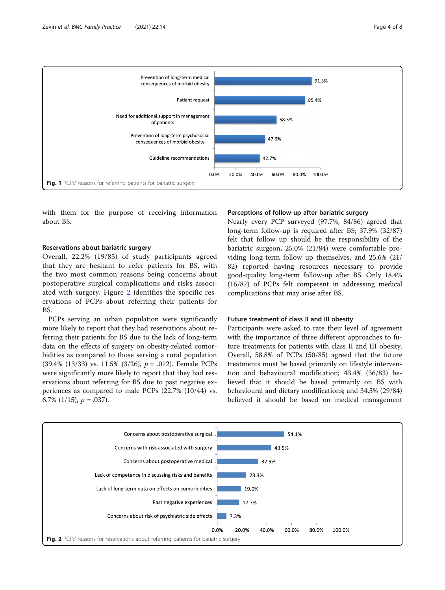<span id="page-3-0"></span>

with them for the purpose of receiving information about BS.

#### Reservations about bariatric surgery

Overall, 22.2% (19/85) of study participants agreed that they are hesitant to refer patients for BS, with the two most common reasons being concerns about postoperative surgical complications and risks associated with surgery. Figure 2 identifies the specific reservations of PCPs about referring their patients for BS.

PCPs serving an urban population were significantly more likely to report that they had reservations about referring their patients for BS due to the lack of long-term data on the effects of surgery on obesity-related comorbidities as compared to those serving a rural population (39.4% (13/33) vs. 11.5% (3/26),  $p = .012$ ). Female PCPs were significantly more likely to report that they had reservations about referring for BS due to past negative experiences as compared to male PCPs (22.7% (10/44) vs. 6.7%  $(1/15)$ ,  $p = .037$ ).

#### Perceptions of follow-up after bariatric surgery

Nearly every PCP surveyed (97.7%, 84/86) agreed that long-term follow-up is required after BS; 37.9% (32/87) felt that follow up should be the responsibility of the bariatric surgeon, 25.0% (21/84) were comfortable providing long-term follow up themselves, and 25.6% (21/ 82) reported having resources necessary to provide good-quality long-term follow-up after BS. Only 18.4% (16/87) of PCPs felt competent in addressing medical complications that may arise after BS.

#### Future treatment of class II and III obesity

Participants were asked to rate their level of agreement with the importance of three different approaches to future treatments for patients with class II and III obesity. Overall, 58.8% of PCPs (50/85) agreed that the future treatments must be based primarily on lifestyle intervention and behavioural modification; 43.4% (36/83) believed that it should be based primarily on BS with behavioural and dietary modifications; and 34.5% (29/84) believed it should be based on medical management

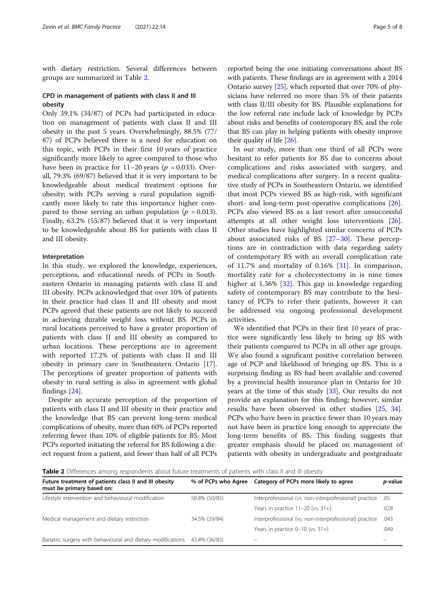with dietary restriction. Several differences between groups are summarized in Table 2.

#### CPD in management of patients with class II and III obesity

Only 39.1% (34/87) of PCPs had participated in education on management of patients with class II and III obesity in the past 5 years. Overwhelmingly, 88.5% (77/ 87) of PCPs believed there is a need for education on this topic, with PCPs in their first 10 years of practice significantly more likely to agree compared to those who have been in practice for  $11-20$  years ( $p = 0.033$ ). Overall, 79.3% (69/87) believed that it is very important to be knowledgeable about medical treatment options for obesity; with PCPs serving a rural population significantly more likely to rate this importance higher compared to those serving an urban population ( $p = 0.013$ ). Finally, 63.2% (55/87) believed that it is very important to be knowledgeable about BS for patients with class II and III obesity.

#### Interpretation

In this study, we explored the knowledge, experiences, perceptions, and educational needs of PCPs in Southeastern Ontario in managing patients with class II and III obesity. PCPs acknowledged that over 10% of patients in their practice had class II and III obesity and most PCPs agreed that these patients are not likely to succeed in achieving durable weight loss without BS. PCPs in rural locations perceived to have a greater proportion of patients with class II and III obesity as compared to urban locations. These perceptions are in agreement with reported 17.2% of patients with class II and III obesity in primary care in Southeastern Ontario [\[17](#page-6-0)]. The perceptions of greater proportion of patients with obesity in rural setting is also in agreement with global findings [\[24](#page-6-0)].

Despite an accurate perception of the proportion of patients with class II and III obesity in their practice and the knowledge that BS can prevent long-term medical complications of obesity, more than 60% of PCPs reported referring fewer than 10% of eligible patients for BS. Most PCPs reported initiating the referral for BS following a direct request from a patient, and fewer than half of all PCPs

reported being the one initiating conversations about BS with patients. These findings are in agreement with a 2014 Ontario survey [\[25](#page-6-0)], which reported that over 70% of physicians have referred no more than 5% of their patients with class II/III obesity for BS. Plausible explanations for the low referral rate include lack of knowledge by PCPs about risks and benefits of contemporary BS, and the role that BS can play in helping patients with obesity improve their quality of life [[26\]](#page-6-0).

In our study, more than one third of all PCPs were hesitant to refer patients for BS due to concerns about complications and risks associated with surgery, and medical complications after surgery. In a recent qualitative study of PCPs in Southeastern Ontario, we identified that most PCPs viewed BS as high-risk, with significant short- and long-term post-operative complications [\[26](#page-6-0)]. PCPs also viewed BS as a last resort after unsuccessful attempts at all other weight loss interventions [\[26](#page-6-0)]. Other studies have highlighted similar concerns of PCPs about associated risks of BS  $[27-30]$  $[27-30]$  $[27-30]$  $[27-30]$ . These perceptions are in contradiction with data regarding safety of contemporary BS with an overall complication rate of 11.7% and mortality of 0.16% [[31\]](#page-6-0). In comparison, mortality rate for a cholecystectomy in is nine times higher at 1.36% [\[32](#page-6-0)]. This gap in knowledge regarding safety of contemporary BS may contribute to the hesitancy of PCPs to refer their patients, however it can be addressed via ongoing professional development activities.

We identified that PCPs in their first 10 years of practice were significantly less likely to bring up BS with their patients compared to PCPs in all other age groups. We also found a significant positive correlation between age of PCP and likelihood of bringing up BS. This is a surprising finding as BS had been available and covered by a provincial health insurance plan in Ontario for 10 years at the time of this study [\[33\]](#page-6-0). Our results do not provide an explanation for this finding; however, similar results have been observed in other studies [[25,](#page-6-0) [34](#page-6-0)]. PCPs who have been in practice fewer than 10 years may not have been in practice long enough to appreciate the long-term benefits of BS. This finding suggests that greater emphasis should be placed on management of patients with obesity in undergraduate and postgraduate

Table 2 Differences among respondents about future treatments of patients with class II and III obesity

| Future treatment of patients class II and III obesity<br>must be primary based on: | % of PCPs who Agree | Category of PCPs more likely to agree                  | <i>p</i> -value |
|------------------------------------------------------------------------------------|---------------------|--------------------------------------------------------|-----------------|
| Lifestyle intervention and behavioural modification                                | 58.8% (50/85)       | Interprofessional (vs. non-interprofessional) practice | .05             |
|                                                                                    |                     | Years in practice $11-20$ (vs. $31+$ )                 | .028            |
| Medical management and dietary restriction                                         | 34.5% (29/84)       | Interprofessional (vs. non-interprofessional) practice | .043            |
|                                                                                    |                     | Years in practice $0-10$ (vs. $31+$ )                  | .049            |
| Bariatric surgery with behavioural and dietary modifications                       | 43.4% (36/83)       |                                                        |                 |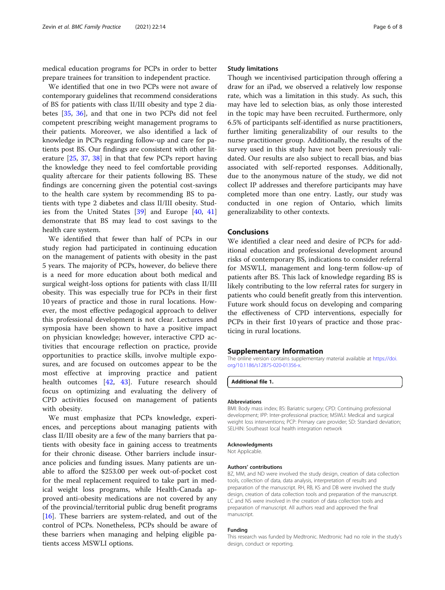<span id="page-5-0"></span>medical education programs for PCPs in order to better prepare trainees for transition to independent practice.

We identified that one in two PCPs were not aware of contemporary guidelines that recommend considerations of BS for patients with class II/III obesity and type 2 diabetes [\[35](#page-6-0), [36\]](#page-6-0), and that one in two PCPs did not feel competent prescribing weight management programs to their patients. Moreover, we also identified a lack of knowledge in PCPs regarding follow-up and care for patients post BS. Our findings are consistent with other literature [[25](#page-6-0), [37](#page-6-0), [38\]](#page-6-0) in that that few PCPs report having the knowledge they need to feel comfortable providing quality aftercare for their patients following BS. These findings are concerning given the potential cost-savings to the health care system by recommending BS to patients with type 2 diabetes and class II/III obesity. Studies from the United States [[39\]](#page-6-0) and Europe [\[40,](#page-6-0) [41](#page-7-0)] demonstrate that BS may lead to cost savings to the health care system.

We identified that fewer than half of PCPs in our study region had participated in continuing education on the management of patients with obesity in the past 5 years. The majority of PCPs, however, do believe there is a need for more education about both medical and surgical weight-loss options for patients with class II/III obesity. This was especially true for PCPs in their first 10 years of practice and those in rural locations. However, the most effective pedagogical approach to deliver this professional development is not clear. Lectures and symposia have been shown to have a positive impact on physician knowledge; however, interactive CPD activities that encourage reflection on practice, provide opportunities to practice skills, involve multiple exposures, and are focused on outcomes appear to be the most effective at improving practice and patient health outcomes [\[42](#page-7-0), [43\]](#page-7-0). Future research should focus on optimizing and evaluating the delivery of CPD activities focused on management of patients with obesity.

We must emphasize that PCPs knowledge, experiences, and perceptions about managing patients with class II/III obesity are a few of the many barriers that patients with obesity face in gaining access to treatments for their chronic disease. Other barriers include insurance policies and funding issues. Many patients are unable to afford the \$253.00 per week out-of-pocket cost for the meal replacement required to take part in medical weight loss programs, while Health-Canada approved anti-obesity medications are not covered by any of the provincial/territorial public drug benefit programs [[16\]](#page-6-0). These barriers are system-related, and out of the control of PCPs. Nonetheless, PCPs should be aware of these barriers when managing and helping eligible patients access MSWLI options.

#### Study limitations

Though we incentivised participation through offering a draw for an iPad, we observed a relatively low response rate, which was a limitation in this study. As such, this may have led to selection bias, as only those interested in the topic may have been recruited. Furthermore, only 6.5% of participants self-identified as nurse practitioners, further limiting generalizability of our results to the nurse practitioner group. Additionally, the results of the survey used in this study have not been previously validated. Our results are also subject to recall bias, and bias associated with self-reported responses. Additionally, due to the anonymous nature of the study, we did not collect IP addresses and therefore participants may have completed more than one entry. Lastly, our study was conducted in one region of Ontario, which limits generalizability to other contexts.

#### Conclusions

We identified a clear need and desire of PCPs for additional education and professional development around risks of contemporary BS, indications to consider referral for MSWLI, management and long-term follow-up of patients after BS. This lack of knowledge regarding BS is likely contributing to the low referral rates for surgery in patients who could benefit greatly from this intervention. Future work should focus on developing and comparing the effectiveness of CPD interventions, especially for PCPs in their first 10 years of practice and those practicing in rural locations.

#### Supplementary Information

The online version contains supplementary material available at [https://doi.](https://doi.org/10.1186/s12875-020-01356-x) [org/10.1186/s12875-020-01356-x](https://doi.org/10.1186/s12875-020-01356-x).

#### Additional file 1.

#### Abbreviations

BMI: Body mass index; BS: Bariatric surgery; CPD: Continuing professional development; IPP: Inter-professional practice; MSWLI: Medical and surgical weight loss interventions; PCP: Primary care provider; SD: Standard deviation; SELHIN: Southeast local health integration network

#### Acknowledgments

Not Applicable.

#### Authors' contributions

BZ, MM, and ND were involved the study design, creation of data collection tools, collection of data, data analysis, interpretation of results and preparation of the manuscript. RH, RB, KS and DB were involved the study design, creation of data collection tools and preparation of the manuscript. LC and NS were involved in the creation of data collection tools and preparation of manuscript. All authors read and approved the final manuscript.

#### Funding

This research was funded by Medtronic. Medtronic had no role in the study's design, conduct or reporting.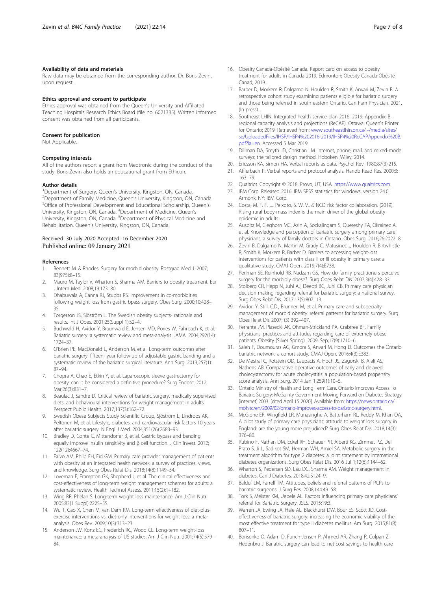#### <span id="page-6-0"></span>Availability of data and materials

Raw data may be obtained from the corresponding author, Dr. Boris Zevin, upon request.

#### Ethics approval and consent to participate

Ethics approval was obtained from the Queen's University and Affiliated Teaching Hospitals Research Ethics Board (file no. 6021335). Written informed consent was obtained from all participants.

#### Consent for publication

Not Applicable.

#### Competing interests

All of the authors report a grant from Medtronic during the conduct of the study. Boris Zevin also holds an educational grant from Ethicon.

#### Author details

<sup>1</sup> Department of Surgery, Queen's University, Kingston, ON, Canada.<br><sup>2</sup> Department of Eamily Medicine, Queen's University, Kingston, ON. <sup>2</sup>Department of Family Medicine, Queen's University, Kingston, ON, Canada. <sup>3</sup>Office of Professional Development and Educational Scholarship, Queen's University, Kingston, ON, Canada. <sup>4</sup>Department of Medicine, Queen's University, Kingston, ON, Canada. <sup>5</sup>Department of Physical Medicine and Rehabilitation, Queen's University, Kingston, ON, Canada.

#### Received: 30 July 2020 Accepted: 16 December 2020 Published online: 09 January 2021

#### References

- 1. Bennett M. & Rhodes. Surgery for morbid obesity. Postgrad Med J. 2007; 83(975):8–15.
- 2. Mauro M, Taylor V, Wharton S, Sharma AM. Barriers to obesity treatment. Eur J Intern Med. 2008;19:173–80.
- 3. Dhabuwala A, Canna RJ, Stubbs RS. Improvement in co-morbidities following weight loss from gastric bpass surgery. Obes Surg. 2000;10:428– 35.
- 4. Torgerson JS, Sjöström L. The Swedish obesity subjects- rationale and results. Int J Obes. 2001;25(Suppl 1):S2–4.
- 5. Buchwald H, Avidor Y, Braunwald E, Jensen MD, Pories W, Fahrbach K, et al. Bariatric surgery: a systematic review and meta-analysis. JAMA. 2004;292(14): 1724–37.
- 6. O'Brien PE, MacDonald L, Anderson M, et al. Long-term outcomes after bariatric surgery: fifteen- year follow-up of adjustable gastric banding and a systematic review of the bariatric surgical literature. Ann Surg. 2013;257(1): 87–94.
- 7. Chopra A, Chao E, Etkin Y, et al. Laparoscopic sleeve gastrectomy for obesity: can it be considered a definitive procedure? Surg Endosc. 2012, Mar:26(3):831-7
- 8. Beaulac J, Sandre D. Critical review of bariatric surgery, medically supervised diets, and behavioural interventions for weight management in adults. Perspect Public Health. 2017;137(3):162–72.
- 9. Swedish Obese Subjects Study Scientific Group, Sjöström L, Lindroos AK, Peltonen M, et al. Lifestyle, diabetes, and cardiovascular risk factors 10 years after bariatric surgery. N Engl J Med. 2004;351(26):2683–93.
- 10. Bradley D, Conte C, Mittendorfer B, et al. Gastric bypass and banding equally improve insulin sensitivity and β cell function. J Clin Invest. 2012; 122(12):4667–74.
- 11. Falvo AM, Philp FH, Eid GM. Primary care provider management of patients with obesity at an integrated health network: a survey of practices, views, and knowledge. Surg Obes Relat Dis. 2018;14(8):1149–54.
- 12. Loveman E, Frampton GK, Shepherd J, et al. The clinical effectiveness and cost-effectiveness of long-term weight management schemes for adults: a systematic review. Health Technol Assess. 2011;15(2):1–182.
- 13. Wing RR, Phelan S. Long-term weight loss maintenance. Am J Clin Nutr. 2005;82(1 Suppl):222S–5S.
- 14. Wu T, Gao X, Chen M, van Dam RM. Long-term effectiveness of diet-plusexercise interventions vs. diet-only interventions for weight loss: a metaanalysis. Obes Rev. 2009;10(3):313–23.
- 15. Anderson JW, Konz EC, Frederich RC, Wood CL. Long-term weight-loss maintenance: a meta-analysis of US studies. Am J Clin Nutr. 2001;74(5):579– 84.
- 16. Obesity Canada-Obésité Canada. Report card on access to obesity treatment for adults in Canada 2019. Edmonton: Obesity Canada-Obésité Canad; 2019.
- 17. Barber D, Morkem R, Dalgarno N, Houlden R, Smith K, Anvari M, Zevin B. A retrospective cohort study examining patients eligible for bariatric surgery and those being referred in south eastern Ontario. Can Fam Physician. 2021. (In press).
- 18. Southeast LHIN. Integrated health service plan 2016–2019: Appendix: B. regional capacity analysis and projections (ReCAP). Ottawa: Queen's Printer for Ontario; 2019. Retrieved from: [www.southeastlhin.on.ca/~/media/sites/](https://www.southeastlhin.on.ca/~/media/sites/se/UploadedFiles/IHSP/IHSP4%202016-2019/IHSP4%20ReCAPAppendix%20B.pdf?la=en) [se/UploadedFiles/IHSP/IHSP4%202016-2019/IHSP4%20ReCAPAppendix%20B.](https://www.southeastlhin.on.ca/~/media/sites/se/UploadedFiles/IHSP/IHSP4%202016-2019/IHSP4%20ReCAPAppendix%20B.pdf?la=en) [pdf?la=en](https://www.southeastlhin.on.ca/~/media/sites/se/UploadedFiles/IHSP/IHSP4%202016-2019/IHSP4%20ReCAPAppendix%20B.pdf?la=en). Accessed 5 Mar 2019.
- 19. Dillman DA, Smyth JD, Christian LM. Internet, phone, mail, and mixed-mode surveys: the tailored design method. Hoboken: Wiley; 2014.
- 20. Ericsson KA, Simon HA. Verbal reports as data. Psychol Rev. 1980;87(3):215.
- 21. Afflerbach P. Verbal reports and protocol analysis. Handb Read Res. 2000;3: 163–79.
- 22. Qualtrics. Copyright © 2018, Provo, UT, USA. <https://www.qualtrics.com>.
- 23. IBM Corp. Released 2016. IBM SPSS statistics for windows, version 24.0. Armonk, NY: IBM Corp.
- 24. Costa, M. F. F. L., Peixoto, S. W. V., & NCD risk factor collaboration. (2019). Rising rural body-mass index is the main driver of the global obesity epidemic in adults.
- 25. Auspitz M, Cleghorn MC, Azin A, Sockalingam S, Quereshy FA, Okrainec A, et al. Knowledge and perception of bariatric surgery among primary care physicians: a survey of family doctors in Ontario. Obes Surg. 2016;26:2022–8.
- 26. Zevin B, Dalgarno N, Martin M, Grady C, Matusinec J, Houlden R, Birtwhistle R, Smith K, Morkem R, Barber D. Barriers to accessing weight-loss interventions for patients with class II or III obesity in primary care: a qualitative study. CMAJ Open. 2019;7(4):E738.
- 27. Perlman SE, Reinhold RB, Nadzam GS. How do family practitioners perceive surgery for the morbidly obese?. Surg Obes Relat Dis. 2007;3(4):428–33.
- 28. Stolberg CR, Hepp N, Juhl AJ, Deepti BC, Juhl CB. Primary care physician decision making regarding referral for bariatric surgery: a national survey. Surg Obes Relat Dis. 2017;13(5):807–13.
- 29. Avidor, Y, Still, C.D., Brunner, M, et al. Primary care and subspecialty management of morbid obesity: referral patterns for bariatric surgery. Surg Obes Relat Dis 2007; (3) 392–407.
- 30. Ferrante JM, Piasecki AK, Ohman-Strickland PA, Crabtree BF. Family physicians' practices and attitudes regarding care of extremely obese patients. Obesity (Silver Spring). 2009, Sep;17(9):1710–6.
- 31. Saleh F, Doumouras AG, Gmora S, Anvari M, Hong D. Outcomes the Ontario bariatric network: a cohort study. CMAJ Open. 2016;4(3):E383.
- 32. De Mestral C, Rotstein OD, Laupacis A, Hoch JS, Zagorski B, Alali AS, Nathens AB. Comparative operative outcomes of early and delayed cholecystectomy for acute cholecystitis: a population-based propensity score analysis. Ann Surg. 2014 Jan 1;259(1):10–5.
- 33. Ontario Ministry of Health and Long Term Care. Ontario Improves Access To Bariatric Surgery: McGuinty Government Moving Forward on Diabetes Strategy [internet].2003. [cited April 15 2020]. Available from: [https://news.ontario.ca/](https://news.ontario.ca/mohltc/en/2009/02/ontario-improves-access-to-bariatric-surgery.html) [mohltc/en/2009/02/ontario-improves-access-to-bariatric-surgery.html.](https://news.ontario.ca/mohltc/en/2009/02/ontario-improves-access-to-bariatric-surgery.html)
- 34. McGlone ER, Wingfield LR, Munasinghe A, Batterham RL, Reddy M, Khan OA. A pilot study of primary care physicians' attitude to weight loss surgery in England: are the young more prejudiced? Surg Obes Relat Dis. 2018;14(3): 376–80.
- 35. Rubino F, Nathan DM, Eckel RH, Schauer PR, Alberti KG, Zimmet PZ, Del Prato S, Ji L, Sadikot SM, Herman WH, Amiel SA. Metabolic surgery in the treatment algorithm for type 2 diabetes: a joint statement by international diabetes organizations. Surg Obes Relat Dis. 2016 Jul 1;12(6):1144–62.
- 36. Wharton S, Pedersen SD, Lau DC, Sharma AM. Weight management in diabetes. Can J Diabetes. 2018;42:S124–9.
- 37. Balduf LM, Farrell TM. Attitudes, beliefs and referral patterns of PCPs to bariatric surgeons. J Surg Res. 2008;144:49–58.
- 38. Tork S, Meister KM, Uebele AL. Factors influencing primary care physicians' referral for Bariatric Surgery. JSLS. 2015;19:3.
- 39. Warren JA, Ewing JA, Hale AL, Blackhurst DW, Bour ES, Scott JD. Costeffectiveness of bariatric surgery: increasing the economic viability of the most effective treatment for type II diabetes mellitus. Am Surg. 2015;81(8): 807–11.
- 40. Borisenko O, Adam D, Funch-Jensen P, Ahmed AR, Zhang R, Colpan Z, Hedenbro J. Bariatric surgery can lead to net cost savings to health care